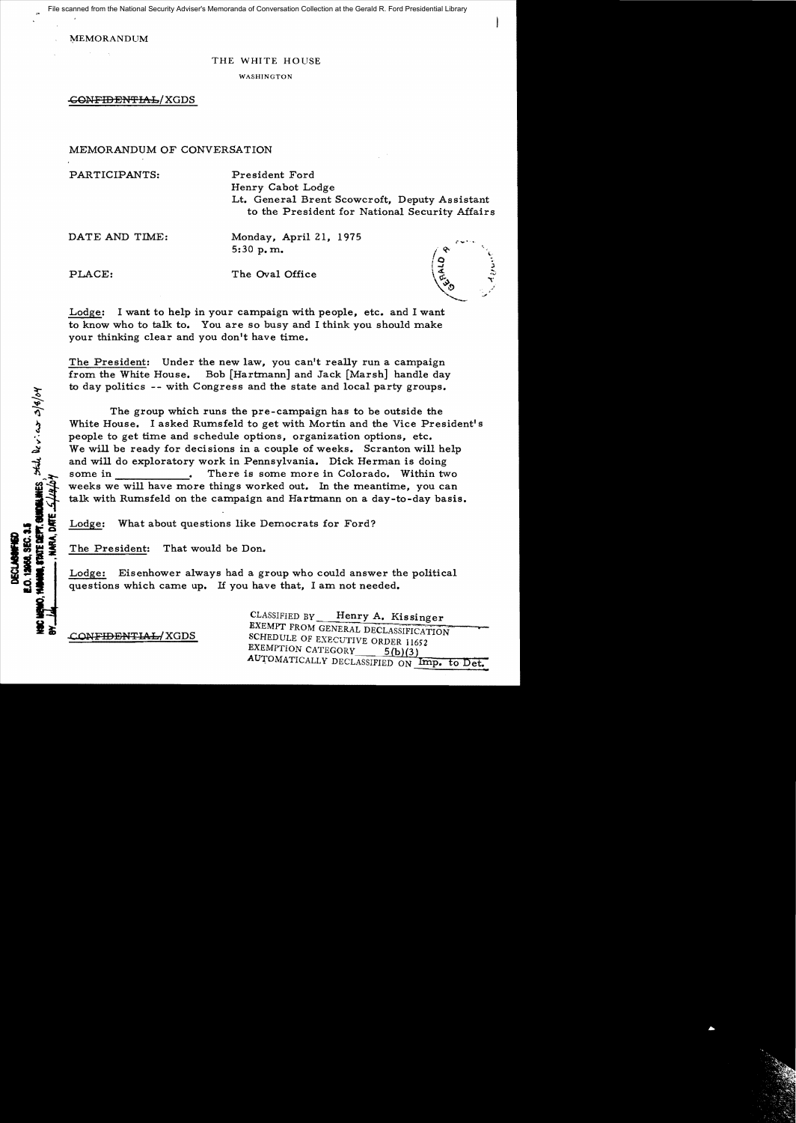File scanned from the National Security Adviser's Memoranda of Conversation Collection at the Gerald R. Ford Presidential Library

**MEMORANDUM** 

## THE WHITE HOUSE

WASHINGTON

-CON<del>FIDENTIAL</del>/XGDS

## MEMORANDUM OF CONVERSATION

PARTICIPANTS: President Ford Henry Cabot Lodge Lt. General Brent Scowcroft, Deputy Assistant to the President for National Security Affairs

DATE AND TIME: Monday, April 21, 1975 5:30 p.m.  $\int_{Q}^{\infty}$ 

PLACE: The Oval Office

LINES that Device 2/8/04

KA DATE

**TATE DEFT** 

Lodge: I want to help in your campaign with people, etc. and I want **650 - 150 W** to know who to talk to. You are so busy and I think you should make your thinking clear and you don't have time.

The President: Under the new law, you can't really run a campaign from the White House. Bob [Hartmann] and Jack [Marsh] handle day to day politics -- with Congress and the state and local party groups.

The group which runs the pre-campaign has to be outside the White House. I asked Rumsfeld to get with Mortin and the Vice President's people to get time and schedule options, organization options, etc. We will be ready for decisions in a couple of weeks. Scranton will help and will do exploratory work in Pennsylvania. Dick Herman is doing some in There is some more in Colorado. Within two weeks we will have more things worked out. In the meantime, you can talk with Rumsfeld on the campaign and Hartmann on a day-to-day basis.

Lodge: What about questions like Democrats for Ford?

The President: That would be Don.

Lodge: Eisenhower always had a group who could answer the political questions which came up. If you have that, I am not needed.

CLASSIFIED BY Henry A. Kissinger EXEMPT FROM GENERAL DECLASSIFICATION CONFIDENTIAL/XGDS SCHEDULE OF EXECUTIVE ORDER 11652 EXEMPTION CATEGORY  $5(b)(3)$ AUTOMATICALLY DECLASSIFIED ON Imp. to Det.

!-4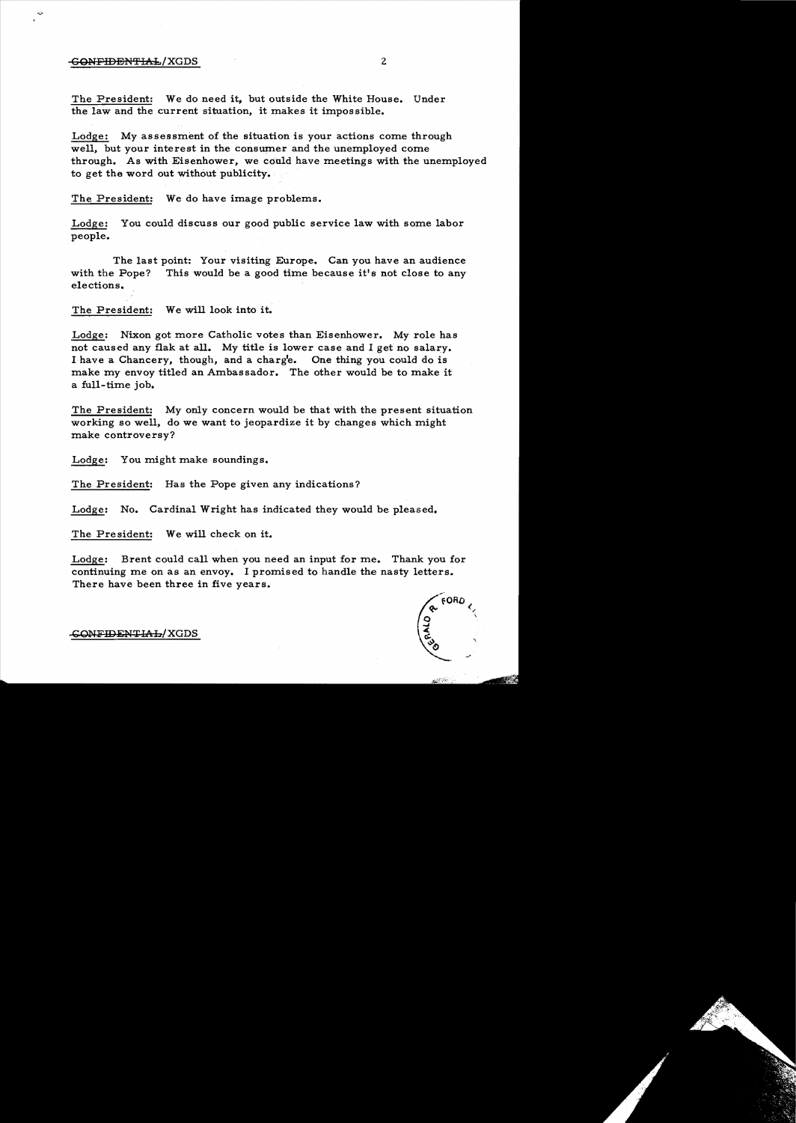## GONFIDENTIAL/XGDS 2

The President: We do need it, but outside the White House. Under the law and the current situation, it makes it impossible.

Lodge: My assessment of the situation is your actions come through well, but your interest in the consumer and the unemployed come through. As with Eisenhower, we could have meetings with the unemployed to get the word out without publicity.

The President: We do have image problems.

Lodge: You could discuss our good public service law with some labor people.

The last point: Your visiting Europe. Can you have an audience with the Pope? This would be a good time because it's not close to any elections.

The President: We will look into it.

Lodge: Nixon got more Catholic votes than Eisenhower. My role has not caused any flak at all. My title is lower case and I get no salary. I have a Chancery, though, and a charg'e. One thing you could do is make my envoy titled an Ambassador. The other would be to make it a full-time job.

The President: My only concern would be that with the present situation working so well, do we want to jeopardize it by changes which might make controversy?

Lodge: You might make soundings.

The President: Has the Pope given any indications?

Lodge: No. Cardinal Wright has indicated they would be pleased.

The President: We will check on it.

Lodge: Brent could call when you need an input for me. Thank you for continuing me on as an envoy. I promised to handle the nasty letters. There have been three in five years.



CONFIDENTIAL/XGDS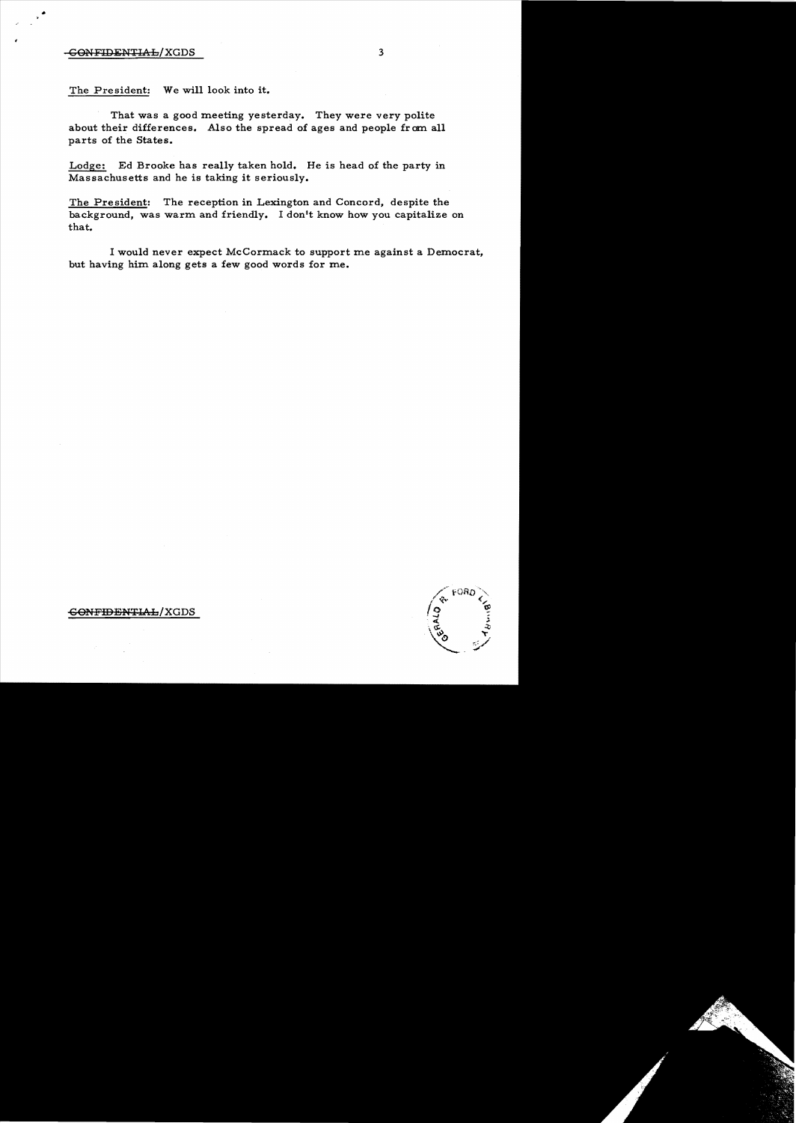## -CONFIDENTIAL/XGDS 3

The President: We will look into it.

That was a good meeting yesterday. They were very polite about their differences. Also the spread of ages and people from all parts of the States.

Lodge: Ed Brooke has really taken hold. He is head of the party in Massachusetts and he is taking it seriously.

The President: The reception in Lexington and Concord, despite the background, was warm and friendly. I don't know how you capitalize on that.

I would never expect McCormack to support me against a Democrat, but having him along gets a few good words for me.

GONFIDENTIAL/XGDS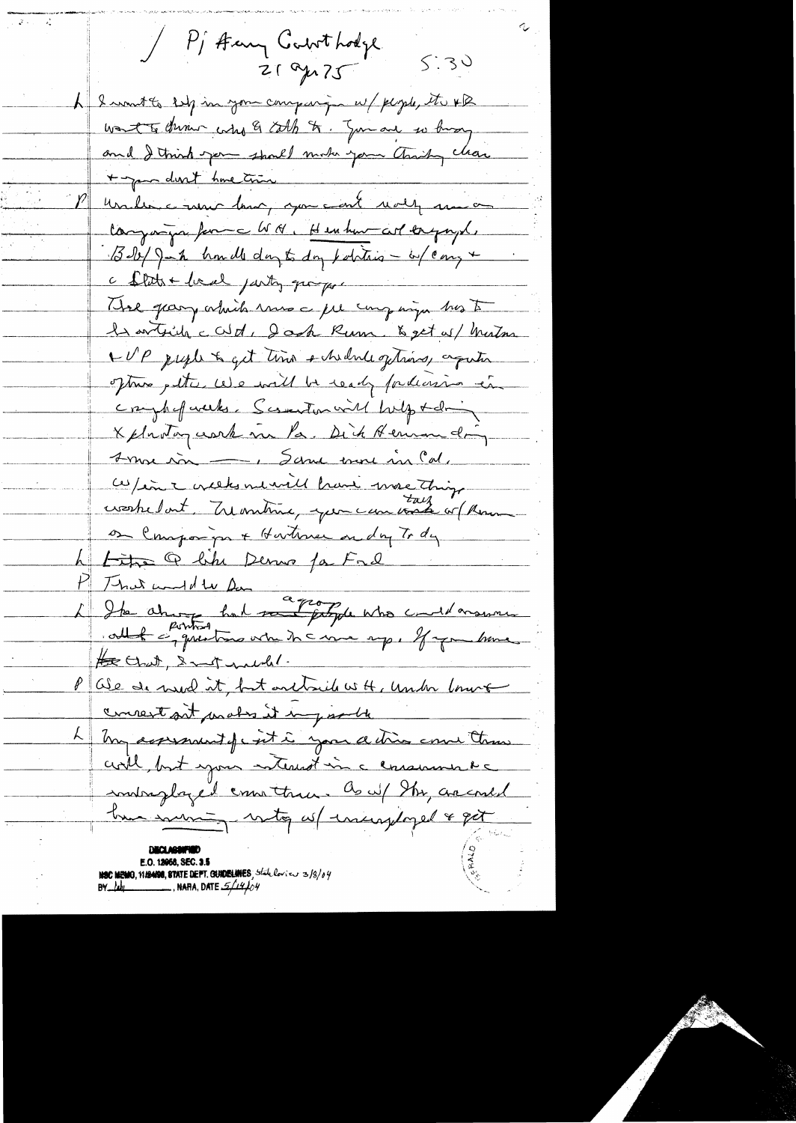/ P Harry Controdge  $5:30$ 21 gr 75 L I want to selp in your company w/ people, the XB want to during who & colh to. Junare so having and I think you should make your thinky clear + par dont home trois comme ent molt man on Congagn forme WN, Herhard corporal, Boby John homell day to day politics - by carry + c flats + local jarty qui por That gray which runs a fel company his to le article cat : dack Rum & get as/ Matin WP preple to get time shedule getwins, again oftwo petter we will be ready fordersion in compliatements. Scientist with the following X plantaguerre me la. Dick Hennandig <u> 1 moi sin - Sanne more ma Cal.</u> W/en i creeks ne vill have more thing on Companyon + Hartman on day To dy Litre Q like Denne par Fre P That would be for a from the who could moment He Chat, Instructed. Oie de need it, but ont rich with, under lower  $\ell$ concert art mates it in joselle L my assessment of c int i your action come than coll, but you notered in a consumer Re indreglazed can them a w/ the account true sourcing witty as Insurgigal & get E.O. 12068, SEC. 3.5 **NSC MEMO, 11/2400, STATE DEPT. CRADELAHES**, State loview 3/3/04  $\mathsf{BV}\_\mathsf{L}\mathsf{L}\mathsf{L}$  , nafia, date  $\mathscr{L}\mathscr{L}\mathscr{L}\mathscr{H}$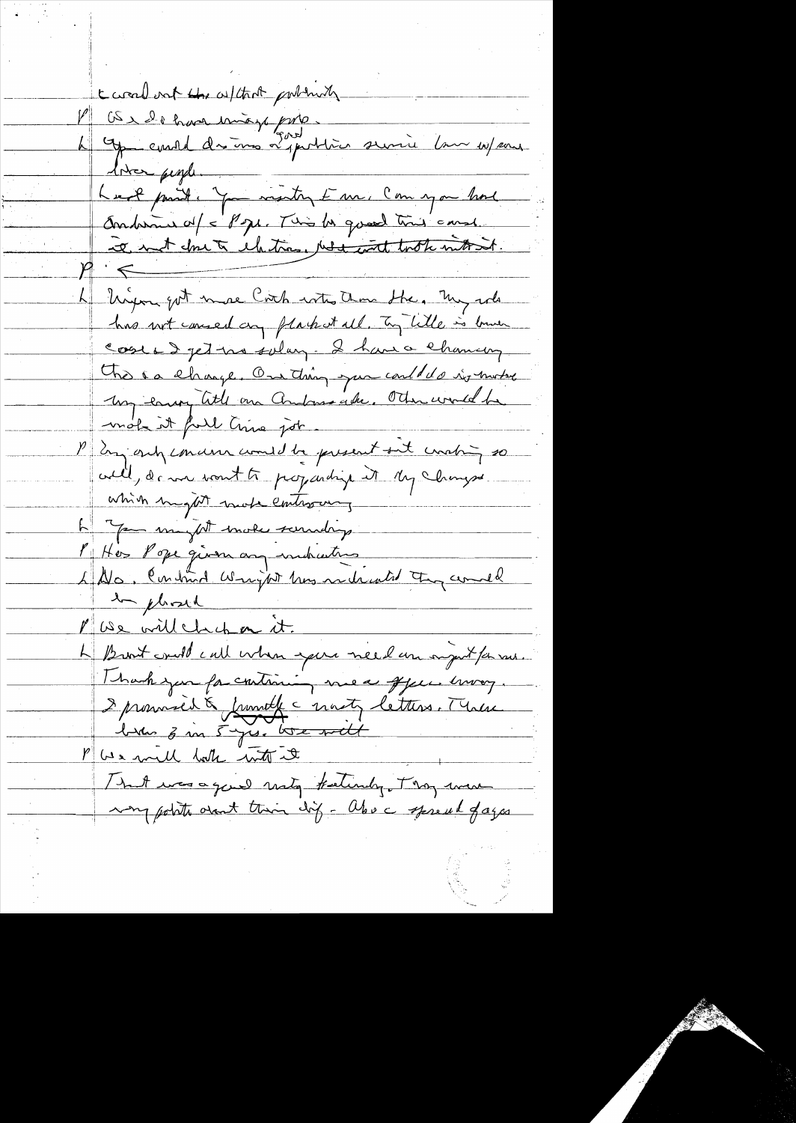created but the without portmally Laraveron - 1000 mois 1000.<br>Le Grand de mois 2000. Qui la village liver people. Anderna of = Pope. This be good time canse Te not donc à chetra, resignat took motion. 4 Union got more Coach with them the, my role has not caused any plack at all. To little is bruen Cose & jet no solar - I have chancery This is change. On thing you could do in motor My earn title on Andonsache, Other world he P En only concern comed be present out unabing so will, de me vont te programlige it My Changes which might more controving L'You muy tenote soundage 1 Hos Pope given any indication 4 No, Continua Wright has notwarted they could en plassed Pluse will change it. Le Bront could call when your need an injust for rais. Thank you for continuing me a offer. Invey. I promoved à franche à mont, letters. Mine That was a good noty fatindy. They were many points overt this dif - about spread of ages